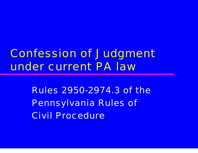### Confession of Judgment under current PA law

Rules 2950-2974.3 of the Pennsylvania Rules of Civil Procedure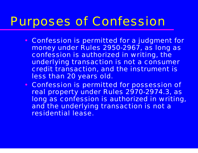### Purposes of Confession

- Confession is permitted for a judgment for money under Rules 2950-2967, as long as confession is authorized in writing, the underlying transaction is not a consumer credit transaction, and the instrument is less than 20 years old.
- Confession is permitted for possession of real property under Rules 2970-2974.3, as long as confession is authorized in writing, and the underlying transaction is not a residential lease.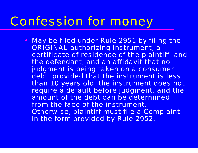#### Confession for money

• May be filed under Rule 2951 by filing the ORIGINAL authorizing instrument, a certificate of residence of the plaintiff and the defendant, and an affidavit that no judgment is being taken on a consumer debt; provided that the instrument is less than 10 years old, the instrument does not require a default before judgment, and the amount of the debt can be determined from the face of the instrument. Otherwise, plaintiff must file a Complaint in the form provided by Rule 2952.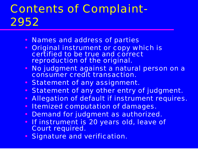## Contents of Complaint-2952

- Names and address of parties
- $\bullet$  Original instrument or copy which is certified to be true and correct reproduction of the original.
- No judgment against a natural person on a consumer credit transaction.
- Statement of any assignment.
- $\bullet$ Statement of any other entry of judgment.
- $\bullet$ Allegation of default if instrument requires.
- $\bullet$ Itemized computation of damages.
- $\bullet$ Demand for judgment as authorized.
- $\bullet$  If instrument is 20 years old, leave of Court required.
- •Signature and verification.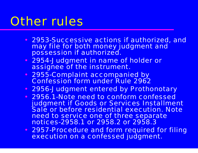## Other rules

- 2953-Successive actions if authorized, and may file for both money judgment and possession if authorized.
- 2954-Judgment in name of holder or assignee of the instrument.
- 2955-Complaint accompanied by Confession form under Rule 2962
- 2956-Judgment entered by Prothonotary
- 2956.1-Note need to conform confessed judgment if Goods or Services Installment Sale or before residential execution. Note need to service one of three separate notices-2958.1 or 2958.2 or 2958.3
- 2957-Procedure and form required for filing execution on a confessed judgment.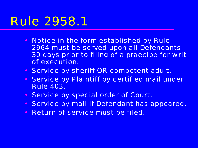- Notice in the form established by Rule 2964 must be served upon all Defendants 30 days prior to filing of a praecipe for writ of execution.
- Service by sheriff OR competent adult.
- Service by Plaintiff by certified mail under Rule 403.
- $\bullet$ Service by special order of Court.
- $\bullet$ Service by mail if Defendant has appeared.
- $\bullet$ Return of service must be filed.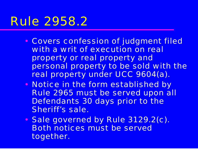- • Covers confession of judgment filed with a writ of execution on real property or real property and personal property to be sold with the real property under UCC 9604(a).
- $\blacksquare$ • Notice in the form established by Rule 2965 must be served upon all Defendants 30 days prior to the Sheriff's sale.
- $\blacksquare$ • Sale governed by Rule 3129.2(c). Both notices must be served together.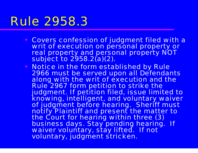- Covers confession of judgment filed with a writ of execution on personal property or real property and personal property NOT subject to 2958.2(a)(2).
- Notice in the form established by Rule 2966 must be served upon all Defendants along with the writ of execution and the Rule 2967 form petition to strike the judgment. If petition filed, issue limited to knowing, intelligent, and voluntary waiver of judgment before hearing. Sheriff must notify Plaintiff and present the matter to<br>the Court for hearing within three (3) business days. Stay pending hearing. If waiver voluntary, stay lifted. If not voluntary, judgment stricken.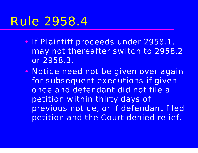- •• If Plaintiff proceeds under 2958.1, may not thereafter switch to 2958.2 or 2958.3.
- $\blacksquare$ • Notice need not be given over again for subsequent executions if given once and defendant did not file a petition within thirty days of previous notice, or if defendant filed petition and the Court denied relief.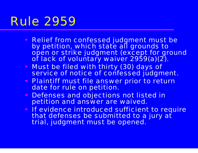## Rule 2959

- Relief from confessed judgment must be by petition, which state all grounds to<br>open or strike judgment (except for ground<br>of lack of voluntary waiver 2959(a)(2).
- • Must be filed with thirty (30) days of service of notice of confessed judgment.
- Plaintiff must file answer prior to return date for rule on petition.
- $\bullet$  Defenses and objections not listed in petition and answer are waived.
- If evidence introduced sufficient to require that defenses be submitted to a jury at trial, judgment must be opened.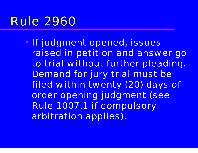#### Rule 2960

 $\epsilon$ **• If judgment opened, issues** raised in petition and answer go to trial without further pleading. Demand for jury trial must be filed within twenty (20) days of order opening judgment (see Rule 1007.1 if compulsory arbitration applies).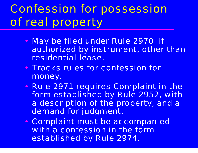# Confession for possession of real property

- •• May be filed under Rule 2970 if authorized by instrument, other than residential lease.
- Tracks rules for confession for money.
- $\blacksquare$ • Rule 2971 requires Complaint in the form established by Rule 2952, with a description of the property, and a demand for judgment.
- •• Complaint must be accompanied with a confession in the form established by Rule 2974.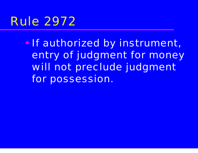## Rule 2972

 $\left($ • If authorized by instrument, entry of judgment for money will not preclude judgment for possession.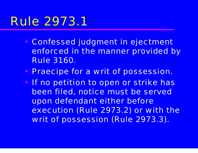- • Confessed judgment in ejectment enforced in the manner provided by Rule 3160.
- $\blacksquare$ • Praecipe for a writ of possession.
- •• If no petition to open or strike has been filed, notice must be served upon defendant either before execution (Rule 2973.2) or with the writ of possession (Rule 2973.3).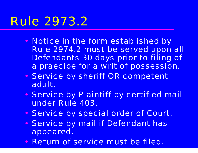- •• Notice in the form established by Rule 2974.2 must be served upon all Defendants 30 days prior to filing of a praecipe for a writ of possession.
- •**• Service by sheriff OR competent** adult.
- •**• Service by Plaintiff by certified mail** under Rule 403.
- $\blacksquare$ **• Service by special order of Court.**
- •**• Service by mail if Defendant has** appeared.
- Return of service must be filed.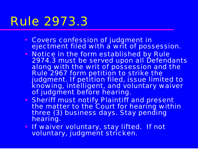- Covers confession of judgment in ejectment filed with a writ of possession.
- Notice in the form established by Rule 2974.3 must be served upon all Defendants along with the writ of possession and the Rule 2967 form petition to strike the judgment. If petition filed, issue limited to knowing, intelligent, and voluntary waiver of judgment before hearing.
- Sheriff must notify Plaintiff and present the matter to the Court for hearing within three (3) business days. Stay pending hearing.
- If waiver voluntary, stay lifted. If not voluntary, judgment stricken.